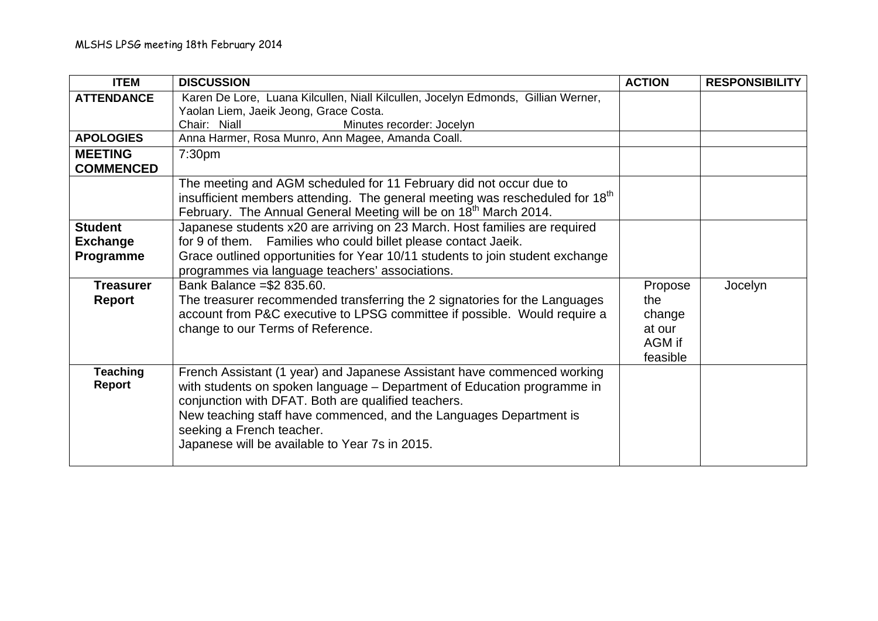| <b>ITEM</b>       | <b>DISCUSSION</b>                                                                        | <b>ACTION</b> | <b>RESPONSIBILITY</b> |
|-------------------|------------------------------------------------------------------------------------------|---------------|-----------------------|
| <b>ATTENDANCE</b> | Karen De Lore, Luana Kilcullen, Niall Kilcullen, Jocelyn Edmonds, Gillian Werner,        |               |                       |
|                   | Yaolan Liem, Jaeik Jeong, Grace Costa.                                                   |               |                       |
|                   | Minutes recorder: Jocelyn<br>Chair: Niall                                                |               |                       |
| <b>APOLOGIES</b>  | Anna Harmer, Rosa Munro, Ann Magee, Amanda Coall.                                        |               |                       |
| <b>MEETING</b>    | 7:30pm                                                                                   |               |                       |
| <b>COMMENCED</b>  |                                                                                          |               |                       |
|                   | The meeting and AGM scheduled for 11 February did not occur due to                       |               |                       |
|                   | insufficient members attending. The general meeting was rescheduled for 18 <sup>th</sup> |               |                       |
|                   | February. The Annual General Meeting will be on 18 <sup>th</sup> March 2014.             |               |                       |
| <b>Student</b>    | Japanese students x20 are arriving on 23 March. Host families are required               |               |                       |
| <b>Exchange</b>   | for 9 of them. Families who could billet please contact Jaeik.                           |               |                       |
| Programme         | Grace outlined opportunities for Year 10/11 students to join student exchange            |               |                       |
|                   | programmes via language teachers' associations.                                          |               |                       |
| <b>Treasurer</b>  | Bank Balance = \$2 835.60.                                                               | Propose       | Jocelyn               |
| <b>Report</b>     | The treasurer recommended transferring the 2 signatories for the Languages               | the           |                       |
|                   | account from P&C executive to LPSG committee if possible. Would require a                | change        |                       |
|                   | change to our Terms of Reference.                                                        | at our        |                       |
|                   |                                                                                          | AGM if        |                       |
|                   |                                                                                          | feasible      |                       |
| <b>Teaching</b>   | French Assistant (1 year) and Japanese Assistant have commenced working                  |               |                       |
| Report            | with students on spoken language - Department of Education programme in                  |               |                       |
|                   | conjunction with DFAT. Both are qualified teachers.                                      |               |                       |
|                   | New teaching staff have commenced, and the Languages Department is                       |               |                       |
|                   | seeking a French teacher.                                                                |               |                       |
|                   | Japanese will be available to Year 7s in 2015.                                           |               |                       |
|                   |                                                                                          |               |                       |